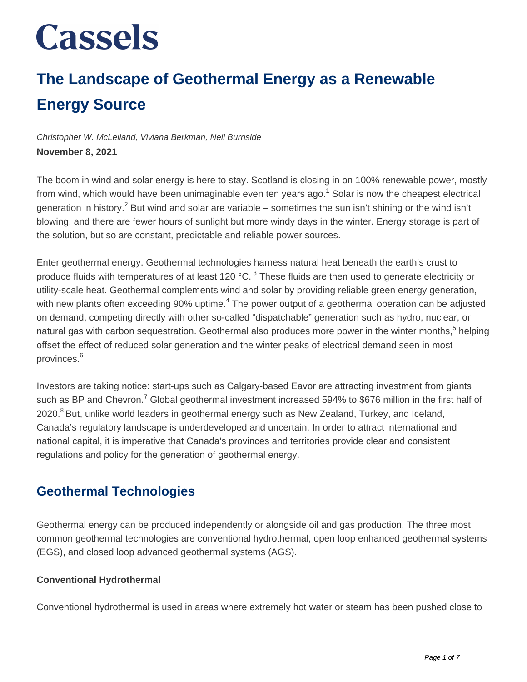### **The Landscape of Geothermal Energy as a Renewable Energy Source**

Christopher W. McLelland, Viviana Berkman, Neil Burnside **November 8, 2021**

The boom in wind and solar energy is here to stay. Scotland is closing in on 100% renewable power, mostly from wind, which would have been unimaginable even ten years ago.<sup>1</sup> Solar is now the cheapest electrical generation in history.<sup>2</sup> But wind and solar are variable – sometimes the sun isn't shining or the wind isn't blowing, and there are fewer hours of sunlight but more windy days in the winter. Energy storage is part of the solution, but so are constant, predictable and reliable power sources.

Enter geothermal energy. Geothermal technologies harness natural heat beneath the earth's crust to produce fluids with temperatures of at least 120 °C.  $^3$  These fluids are then used to generate electricity or utility-scale heat. Geothermal complements wind and solar by providing reliable green energy generation, with new plants often exceeding 90% uptime.<sup>4</sup> The power output of a geothermal operation can be adjusted on demand, competing directly with other so-called "dispatchable" generation such as hydro, nuclear, or natural gas with carbon sequestration. Geothermal also produces more power in the winter months,<sup>5</sup> helping offset the effect of reduced solar generation and the winter peaks of electrical demand seen in most provinces.<sup>6</sup>

Investors are taking notice: start-ups such as Calgary-based Eavor are attracting investment from giants such as BP and Chevron.<sup>7</sup> Global geothermal investment increased 594% to \$676 million in the first half of 2020. $8$ But, unlike world leaders in geothermal energy such as New Zealand, Turkey, and Iceland, Canada's regulatory landscape is underdeveloped and uncertain. In order to attract international and national capital, it is imperative that Canada's provinces and territories provide clear and consistent regulations and policy for the generation of geothermal energy.

### **Geothermal Technologies**

Geothermal energy can be produced independently or alongside oil and gas production. The three most common geothermal technologies are conventional hydrothermal, open loop enhanced geothermal systems (EGS), and closed loop advanced geothermal systems (AGS).

#### **Conventional Hydrothermal**

Conventional hydrothermal is used in areas where extremely hot water or steam has been pushed close to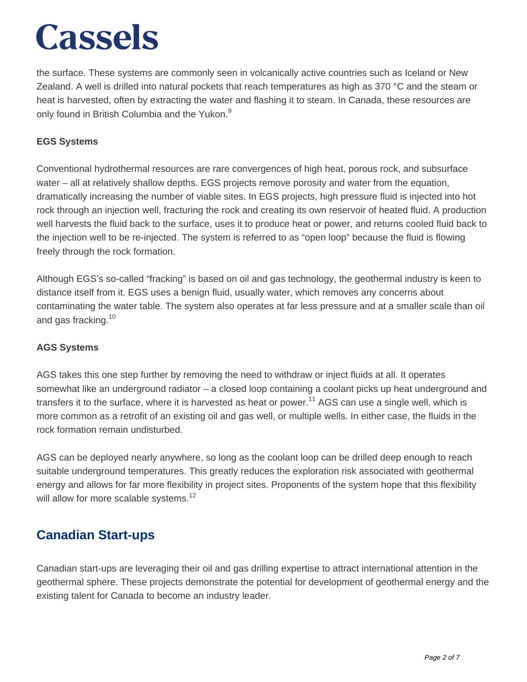the surface. These systems are commonly seen in volcanically active countries such as Iceland or New Zealand. A well is drilled into natural pockets that reach temperatures as high as 370 °C and the steam or heat is harvested, often by extracting the water and flashing it to steam. In Canada, these resources are only found in British Columbia and the Yukon.<sup>9</sup>

#### **EGS Systems**

Conventional hydrothermal resources are rare convergences of high heat, porous rock, and subsurface water – all at relatively shallow depths. EGS projects remove porosity and water from the equation, dramatically increasing the number of viable sites. In EGS projects, high pressure fluid is injected into hot rock through an injection well, fracturing the rock and creating its own reservoir of heated fluid. A production well harvests the fluid back to the surface, uses it to produce heat or power, and returns cooled fluid back to the injection well to be re-injected. The system is referred to as "open loop" because the fluid is flowing freely through the rock formation.

Although EGS's so-called "fracking" is based on oil and gas technology, the geothermal industry is keen to distance itself from it. EGS uses a benign fluid, usually water, which removes any concerns about contaminating the water table. The system also operates at far less pressure and at a smaller scale than oil and gas fracking.<sup>10</sup>

#### **AGS Systems**

AGS takes this one step further by removing the need to withdraw or inject fluids at all. It operates somewhat like an underground radiator – a closed loop containing a coolant picks up heat underground and transfers it to the surface, where it is harvested as heat or power.<sup>11</sup> AGS can use a single well, which is more common as a retrofit of an existing oil and gas well, or multiple wells. In either case, the fluids in the rock formation remain undisturbed.

AGS can be deployed nearly anywhere, so long as the coolant loop can be drilled deep enough to reach suitable underground temperatures. This greatly reduces the exploration risk associated with geothermal energy and allows for far more flexibility in project sites. Proponents of the system hope that this flexibility will allow for more scalable systems.<sup>12</sup>

### **Canadian Start-ups**

Canadian start-ups are leveraging their oil and gas drilling expertise to attract international attention in the geothermal sphere. These projects demonstrate the potential for development of geothermal energy and the existing talent for Canada to become an industry leader.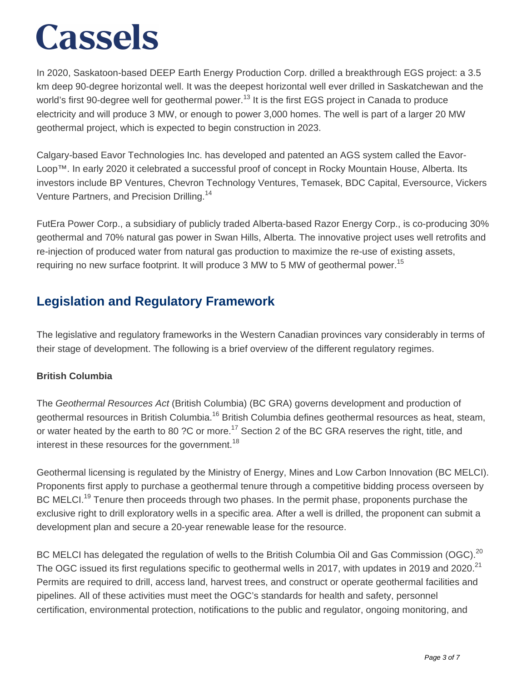In 2020, Saskatoon-based DEEP Earth Energy Production Corp. drilled a breakthrough EGS project: a 3.5 km deep 90-degree horizontal well. It was the deepest horizontal well ever drilled in Saskatchewan and the world's first 90-degree well for geothermal power.<sup>13</sup> It is the first EGS project in Canada to produce electricity and will produce 3 MW, or enough to power 3,000 homes. The well is part of a larger 20 MW geothermal project, which is expected to begin construction in 2023.

Calgary-based Eavor Technologies Inc. has developed and patented an AGS system called the Eavor-Loop™. In early 2020 it celebrated a successful proof of concept in Rocky Mountain House, Alberta. Its investors include BP Ventures, Chevron Technology Ventures, Temasek, BDC Capital, Eversource, Vickers Venture Partners, and Precision Drilling.<sup>14</sup>

FutEra Power Corp., a subsidiary of publicly traded Alberta-based Razor Energy Corp., is co-producing 30% geothermal and 70% natural gas power in Swan Hills, Alberta. The innovative project uses well retrofits and re-injection of produced water from natural gas production to maximize the re-use of existing assets, requiring no new surface footprint. It will produce 3 MW to 5 MW of geothermal power.<sup>15</sup>

### **Legislation and Regulatory Framework**

The legislative and regulatory frameworks in the Western Canadian provinces vary considerably in terms of their stage of development. The following is a brief overview of the different regulatory regimes.

#### **British Columbia**

The Geothermal Resources Act (British Columbia) (BC GRA) governs development and production of geothermal resources in British Columbia.<sup>16</sup> British Columbia defines geothermal resources as heat, steam, or water heated by the earth to 80 ?C or more.<sup>17</sup> Section 2 of the BC GRA reserves the right, title, and interest in these resources for the government.<sup>18</sup>

Geothermal licensing is regulated by the Ministry of Energy, Mines and Low Carbon Innovation (BC MELCI). Proponents first apply to purchase a geothermal tenure through a competitive bidding process overseen by BC MELCI.<sup>19</sup> Tenure then proceeds through two phases. In the permit phase, proponents purchase the exclusive right to drill exploratory wells in a specific area. After a well is drilled, the proponent can submit a development plan and secure a 20-year renewable lease for the resource.

BC MELCI has delegated the regulation of wells to the British Columbia Oil and Gas Commission (OGC).<sup>20</sup> The OGC issued its first regulations specific to geothermal wells in 2017, with updates in 2019 and 2020.<sup>21</sup> Permits are required to drill, access land, harvest trees, and construct or operate geothermal facilities and pipelines. All of these activities must meet the OGC's standards for health and safety, personnel certification, environmental protection, notifications to the public and regulator, ongoing monitoring, and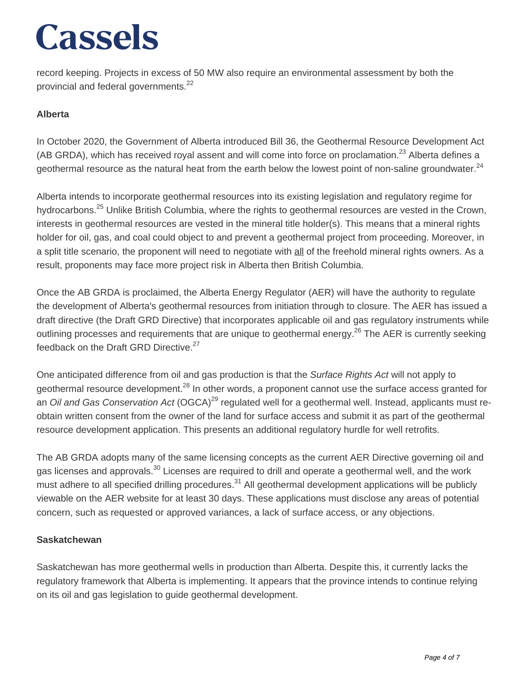record keeping. Projects in excess of 50 MW also require an environmental assessment by both the provincial and federal governments.<sup>22</sup>

#### **Alberta**

In October 2020, the Government of Alberta introduced Bill 36, the Geothermal Resource Development Act (AB GRDA), which has received royal assent and will come into force on proclamation.<sup>23</sup> Alberta defines a geothermal resource as the natural heat from the earth below the lowest point of non-saline groundwater.<sup>24</sup>

Alberta intends to incorporate geothermal resources into its existing legislation and regulatory regime for hydrocarbons.<sup>25</sup> Unlike British Columbia, where the rights to geothermal resources are vested in the Crown, interests in geothermal resources are vested in the mineral title holder(s). This means that a mineral rights holder for oil, gas, and coal could object to and prevent a geothermal project from proceeding. Moreover, in a split title scenario, the proponent will need to negotiate with all of the freehold mineral rights owners. As a result, proponents may face more project risk in Alberta then British Columbia.

Once the AB GRDA is proclaimed, the Alberta Energy Regulator (AER) will have the authority to regulate the development of Alberta's geothermal resources from initiation through to closure. The AER has issued a draft directive (the Draft GRD Directive) that incorporates applicable oil and gas regulatory instruments while outlining processes and requirements that are unique to geothermal energy.<sup>26</sup> The AER is currently seeking feedback on the Draft GRD Directive.<sup>27</sup>

One anticipated difference from oil and gas production is that the Surface Rights Act will not apply to geothermal resource development.<sup>28</sup> In other words, a proponent cannot use the surface access granted for an Oil and Gas Conservation Act (OGCA)<sup>29</sup> regulated well for a geothermal well. Instead, applicants must reobtain written consent from the owner of the land for surface access and submit it as part of the geothermal resource development application. This presents an additional regulatory hurdle for well retrofits.

The AB GRDA adopts many of the same licensing concepts as the current AER Directive governing oil and gas licenses and approvals.<sup>30</sup> Licenses are required to drill and operate a geothermal well, and the work must adhere to all specified drilling procedures.<sup>31</sup> All geothermal development applications will be publicly viewable on the AER website for at least 30 days. These applications must disclose any areas of potential concern, such as requested or approved variances, a lack of surface access, or any objections.

#### **Saskatchewan**

Saskatchewan has more geothermal wells in production than Alberta. Despite this, it currently lacks the regulatory framework that Alberta is implementing. It appears that the province intends to continue relying on its oil and gas legislation to guide geothermal development.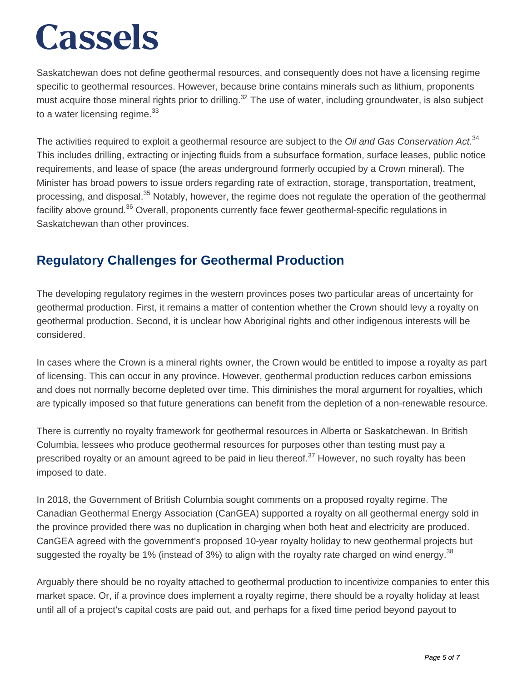Saskatchewan does not define geothermal resources, and consequently does not have a licensing regime specific to geothermal resources. However, because brine contains minerals such as lithium, proponents must acquire those mineral rights prior to drilling.<sup>32</sup> The use of water, including groundwater, is also subject to a water licensing regime. $33$ 

The activities required to exploit a geothermal resource are subject to the Oil and Gas Conservation Act.<sup>34</sup> This includes drilling, extracting or injecting fluids from a subsurface formation, surface leases, public notice requirements, and lease of space (the areas underground formerly occupied by a Crown mineral). The Minister has broad powers to issue orders regarding rate of extraction, storage, transportation, treatment, processing, and disposal.<sup>35</sup> Notably, however, the regime does not regulate the operation of the geothermal facility above ground.<sup>36</sup> Overall, proponents currently face fewer geothermal-specific regulations in Saskatchewan than other provinces.

### **Regulatory Challenges for Geothermal Production**

The developing regulatory regimes in the western provinces poses two particular areas of uncertainty for geothermal production. First, it remains a matter of contention whether the Crown should levy a royalty on geothermal production. Second, it is unclear how Aboriginal rights and other indigenous interests will be considered.

In cases where the Crown is a mineral rights owner, the Crown would be entitled to impose a royalty as part of licensing. This can occur in any province. However, geothermal production reduces carbon emissions and does not normally become depleted over time. This diminishes the moral argument for royalties, which are typically imposed so that future generations can benefit from the depletion of a non-renewable resource.

There is currently no royalty framework for geothermal resources in Alberta or Saskatchewan. In British Columbia, lessees who produce geothermal resources for purposes other than testing must pay a prescribed royalty or an amount agreed to be paid in lieu thereof.<sup>37</sup> However, no such royalty has been imposed to date.

In 2018, the Government of British Columbia sought comments on a proposed royalty regime. The Canadian Geothermal Energy Association (CanGEA) supported a royalty on all geothermal energy sold in the province provided there was no duplication in charging when both heat and electricity are produced. CanGEA agreed with the government's proposed 10-year royalty holiday to new geothermal projects but suggested the royalty be 1% (instead of 3%) to align with the royalty rate charged on wind energy.<sup>38</sup>

Arguably there should be no royalty attached to geothermal production to incentivize companies to enter this market space. Or, if a province does implement a royalty regime, there should be a royalty holiday at least until all of a project's capital costs are paid out, and perhaps for a fixed time period beyond payout to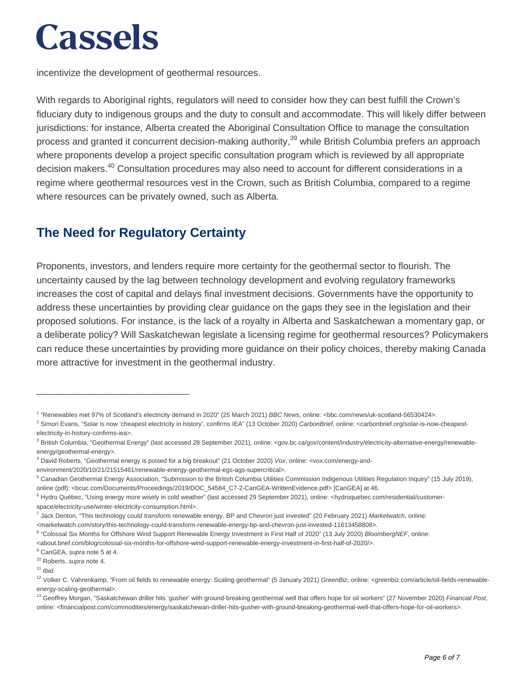incentivize the development of geothermal resources.

With regards to Aboriginal rights, regulators will need to consider how they can best fulfill the Crown's fiduciary duty to indigenous groups and the duty to consult and accommodate. This will likely differ between jurisdictions: for instance, Alberta created the Aboriginal Consultation Office to manage the consultation process and granted it concurrent decision-making authority,<sup>39</sup> while British Columbia prefers an approach where proponents develop a project specific consultation program which is reviewed by all appropriate decision makers.<sup>40</sup> Consultation procedures may also need to account for different considerations in a regime where geothermal resources vest in the Crown, such as British Columbia, compared to a regime where resources can be privately owned, such as Alberta.

### **The Need for Regulatory Certainty**

\_\_\_\_\_\_\_\_\_\_\_\_\_\_\_\_\_\_\_\_\_\_\_\_\_\_\_\_\_

Proponents, investors, and lenders require more certainty for the geothermal sector to flourish. The uncertainty caused by the lag between technology development and evolving regulatory frameworks increases the cost of capital and delays final investment decisions. Governments have the opportunity to address these uncertainties by providing clear guidance on the gaps they see in the legislation and their proposed solutions. For instance, is the lack of a royalty in Alberta and Saskatchewan a momentary gap, or a deliberate policy? Will Saskatchewan legislate a licensing regime for geothermal resources? Policymakers can reduce these uncertainties by providing more guidance on their policy choices, thereby making Canada more attractive for investment in the geothermal industry.

environment/2020/10/21/21515461/renewable-energy-geothermal-egs-ags-supercritical>.

<sup>9</sup> CanGEA, supra note 5 at 4.

 $11$  Ibid.

<sup>&</sup>lt;sup>1</sup> "Renewables met 97% of Scotland's electricity demand in 2020" (25 March 2021) BBC News, online: <bbc.com/news/uk-scotland-56530424>.

<sup>&</sup>lt;sup>2</sup> Simon Evans, "Solar is now 'cheapest electricity in history', confirms IEA" (13 October 2020) CarbonBrief, online: <carbonbrief.org/solar-is-now-cheapestelectricity-in-history-confirms-iea>.

<sup>&</sup>lt;sup>3</sup> British Columbia, "Geothermal Energy" (last accessed 28 September 2021), online: <gov.bc.ca/gov/content/industry/electricity-alternative-energy/renewableenergy/geothermal-energy>.

<sup>4</sup> David Roberts, "Geothermal energy is poised for a big breakout" (21 October 2020) Vox, online: <vox.com/energy-and-

<sup>&</sup>lt;sup>5</sup> Canadian Geothermal Energy Association, "Submission to the British Columbia Utilities Commission Indigenous Utilities Regulation Inquiry" (15 July 2019), online (pdf): <bcuc.com/Documents/Proceedings/2019/DOC\_54584\_C7-2-CanGEA-WrittenEvidence.pdf> [CanGEA] at 46.

<sup>&</sup>lt;sup>6</sup> Hydro Québec, "Using energy more wisely in cold weather" (last accessed 29 September 2021), online: <hydroquebec.com/residential/customerspace/electricity-use/winter-electricity-consumption.html>.

<sup>&</sup>lt;sup>7</sup> Jack Denton, "This technology could transform renewable energy. BP and Chevron just invested" (20 February 2021) Marketwatch, online: <marketwatch.com/story/this-technology-could-transform-renewable-energy-bp-and-chevron-just-invested-11613458808>.

<sup>&</sup>lt;sup>8</sup> "Colossal Six Months for Offshore Wind Support Renewable Energy Investment in First Half of 2020" (13 July 2020) BloombergNEF, online:

<sup>&</sup>lt;about.bnef.com/blog/colossal-six-months-for-offshore-wind-support-renewable-energy-investment-in-first-half-of-2020/>.

<sup>&</sup>lt;sup>10</sup> Roberts, supra note 4.

<sup>&</sup>lt;sup>12</sup> Volker C. Vahrenkamp, "From oil fields to renewable energy: Scaling geothermal" (5 January 2021) GreenBiz, online: <greenbiz.com/article/oil-fields-renewableenergy-scaling-geothermal>.

<sup>&</sup>lt;sup>13</sup> Geoffrey Morgan, "Saskatchewan driller hits 'gusher' with ground-breaking geothermal well that offers hope for oil workers" (27 November 2020) Financial Post, online: <financialpost.com/commodities/energy/saskatchewan-driller-hits-gusher-with-ground-breaking-geothermal-well-that-offers-hope-for-oil-workers>.